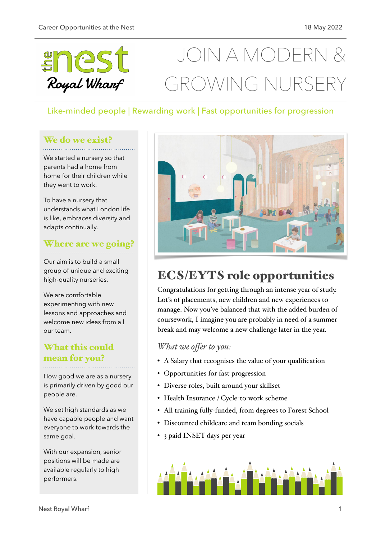

# JOIN A MODERI GROWING NURS

## Like-minded people | Rewarding work | Fast opportunities for progression

#### We do we exist?

We started a nursery so that parents had a home from home for their children while they went to work.

To have a nursery that understands what London life is like, embraces diversity and adapts continually.

#### Where are we going?

Our aim is to build a small group of unique and exciting high-quality nurseries.

We are comfortable experimenting with new lessons and approaches and welcome new ideas from all our team.

## What this could mean for you?

How good we are as a nursery is primarily driven by good our people are.

We set high standards as we have capable people and want everyone to work towards the same goal.

With our expansion, senior positions will be made are available regularly to high performers.



# ECS/EYTS role opportunities

Congratulations for getting through an intense year of study. Lot's of placements, new children and new experiences to manage. Now you've balanced that with the added burden of coursework, I imagine you are probably in need of a summer break and may welcome a new challenge later in the year.

#### *What we offer to you:*

- A Salary that recognises the value of your qualification
- Opportunities for fast progression
- Diverse roles, built around your skillset
- Health Insurance / Cycle-to-work scheme
- All training fully-funded, from degrees to Forest School
- Discounted childcare and team bonding socials
- 3 paid INSET days per year